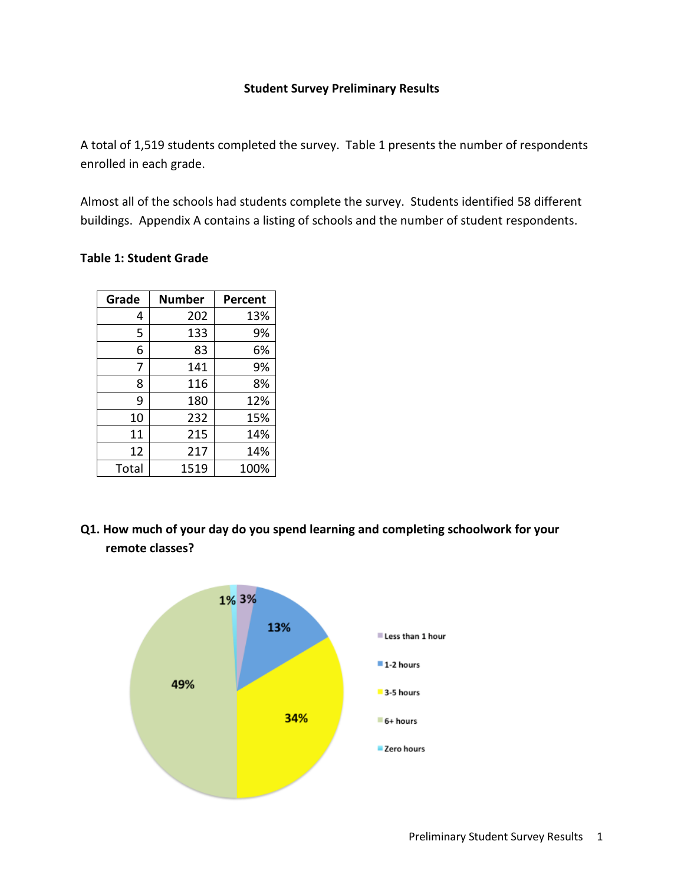#### **Student Survey Preliminary Results**

A total of 1,519 students completed the survey. Table 1 presents the number of respondents enrolled in each grade.

Almost all of the schools had students complete the survey. Students identified 58 different buildings. Appendix A contains a listing of schools and the number of student respondents.

#### **Table 1: Student Grade**

| Grade | <b>Number</b> | Percent |
|-------|---------------|---------|
| 4     | 202           | 13%     |
| 5     | 133           | 9%      |
| 6     | 83            | 6%      |
| 7     | 141           | 9%      |
| 8     | 116           | 8%      |
| 9     | 180           | 12%     |
| 10    | 232           | 15%     |
| 11    | 215           | 14%     |
| 12    | 217           | 14%     |
| Total | 1519          | 100%    |

**Q1. How much of your day do you spend learning and completing schoolwork for your remote classes?**

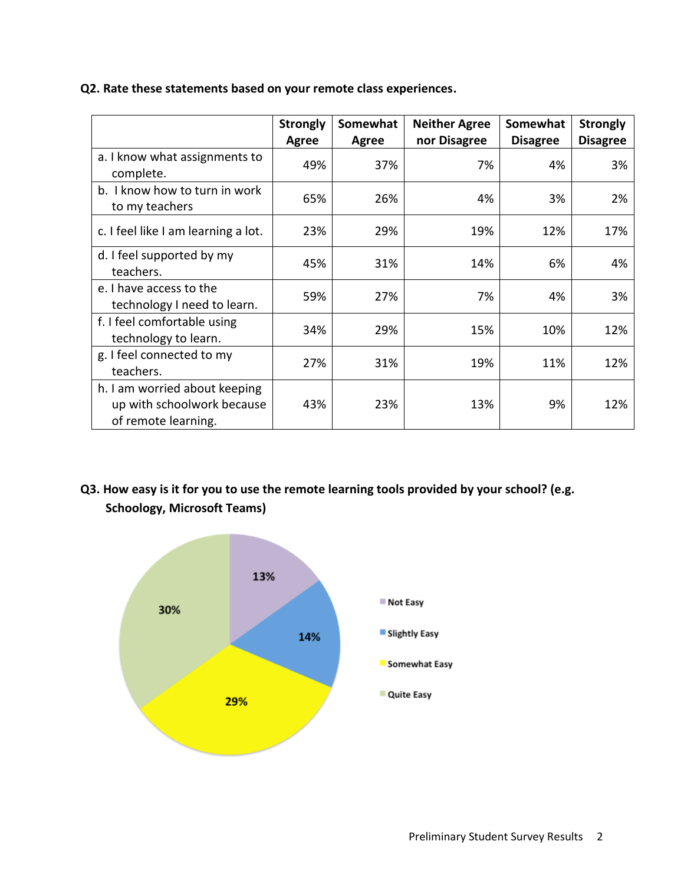|                                                                                    | <b>Strongly</b><br>Agree | Somewhat<br>Agree | <b>Neither Agree</b><br>nor Disagree | Somewhat<br><b>Disagree</b> | <b>Strongly</b><br><b>Disagree</b> |
|------------------------------------------------------------------------------------|--------------------------|-------------------|--------------------------------------|-----------------------------|------------------------------------|
| a. I know what assignments to<br>complete.                                         | 49%                      | 37%               | 7%                                   | 4%                          | 3%                                 |
| b. I know how to turn in work<br>to my teachers                                    | 65%                      | 26%               | 4%                                   | 3%                          | 2%                                 |
| c. I feel like I am learning a lot.                                                | 23%                      | 29%               | 19%                                  | 12%                         | 17%                                |
| d. I feel supported by my<br>teachers.                                             | 45%                      | 31%               | 14%                                  | 6%                          | 4%                                 |
| e. I have access to the<br>technology I need to learn.                             | 59%                      | 27%               | 7%                                   | 4%                          | 3%                                 |
| f. I feel comfortable using<br>technology to learn.                                | 34%                      | 29%               | 15%                                  | 10%                         | 12%                                |
| g. I feel connected to my<br>teachers.                                             | 27%                      | 31%               | 19%                                  | 11%                         | 12%                                |
| h. I am worried about keeping<br>up with schoolwork because<br>of remote learning. | 43%                      | 23%               | 13%                                  | 9%                          | 12%                                |

#### **Q2. Rate these statements based on your remote class experiences.**

# **Q3. How easy is it for you to use the remote learning tools provided by your school? (e.g. Schoology, Microsoft Teams)**

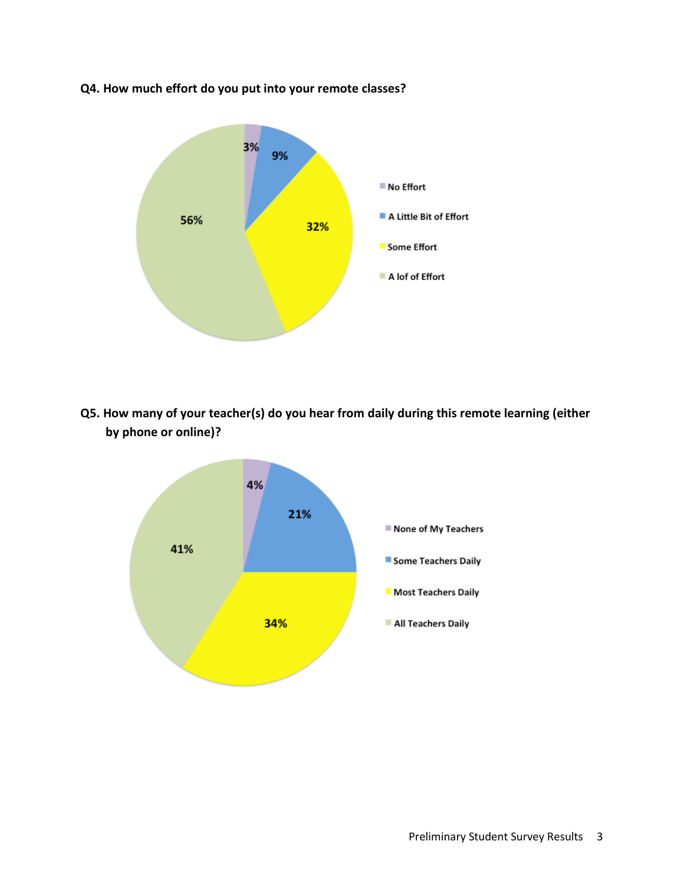

**Q4. How much effort do you put into your remote classes?**

**Q5. How many of your teacher(s) do you hear from daily during this remote learning (either by phone or online)?**

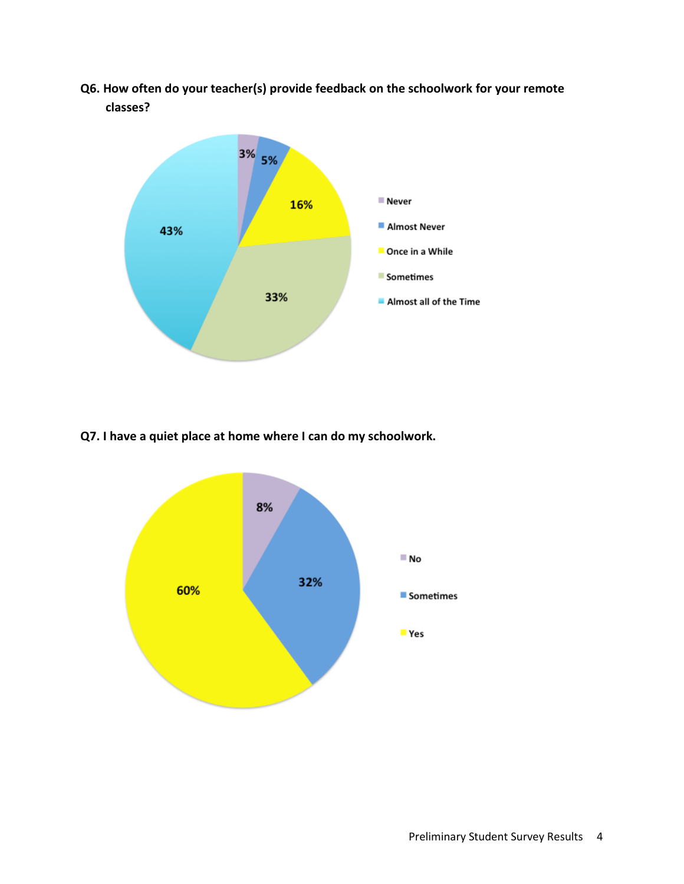**Q6. How often do your teacher(s) provide feedback on the schoolwork for your remote classes?**



**Q7. I have a quiet place at home where I can do my schoolwork.**

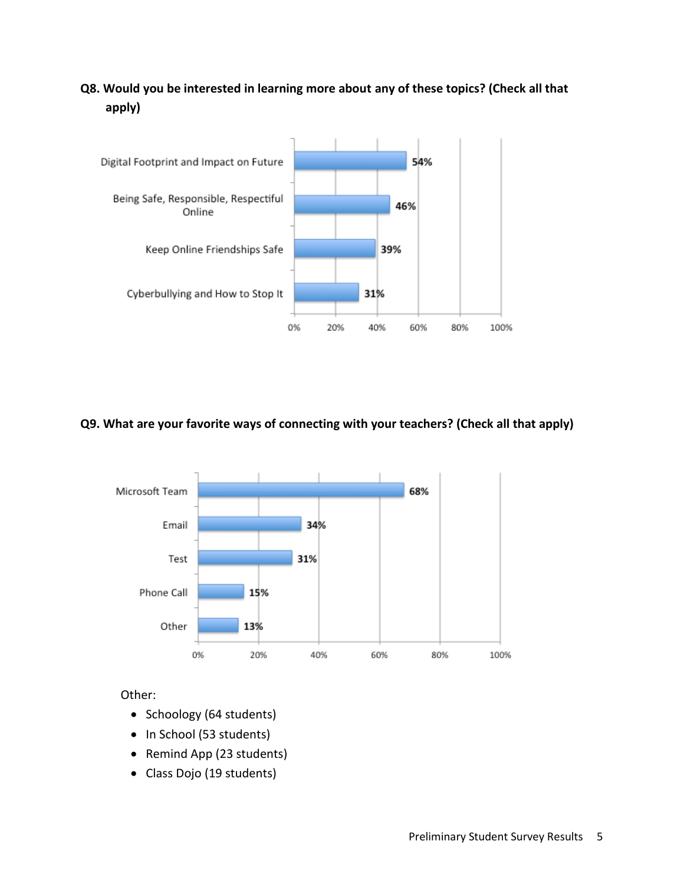# **Q8. Would you be interested in learning more about any of these topics? (Check all that apply)**



### **Q9. What are your favorite ways of connecting with your teachers? (Check all that apply)**



Other:

- Schoology (64 students)
- In School (53 students)
- Remind App (23 students)
- Class Dojo (19 students)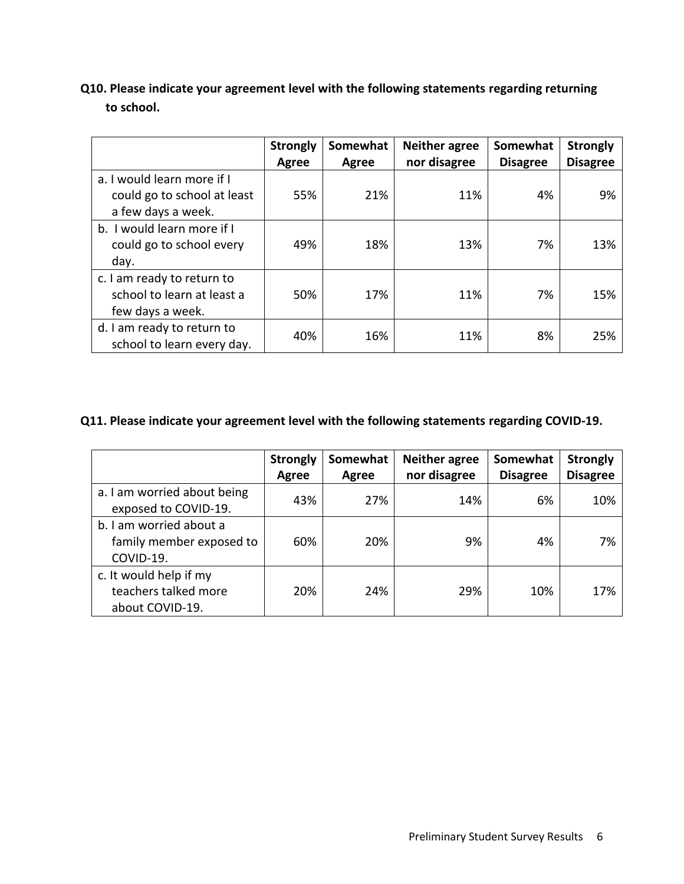# **Q10. Please indicate your agreement level with the following statements regarding returning to school.**

|                                                                                 | <b>Strongly</b><br>Agree | Somewhat<br>Agree | <b>Neither agree</b><br>nor disagree | Somewhat<br><b>Disagree</b> | <b>Strongly</b><br><b>Disagree</b> |
|---------------------------------------------------------------------------------|--------------------------|-------------------|--------------------------------------|-----------------------------|------------------------------------|
| a. I would learn more if I<br>could go to school at least<br>a few days a week. | 55%                      | 21%               | 11%                                  | 4%                          | 9%                                 |
| b. I would learn more if I<br>could go to school every<br>day.                  | 49%                      | 18%               | 13%                                  | 7%                          | 13%                                |
| c. I am ready to return to<br>school to learn at least a<br>few days a week.    | 50%                      | 17%               | 11%                                  | 7%                          | 15%                                |
| d. I am ready to return to<br>school to learn every day.                        | 40%                      | 16%               | 11%                                  | 8%                          | 25%                                |

### **Q11. Please indicate your agreement level with the following statements regarding COVID-19.**

|                                                                   | <b>Strongly</b><br><b>Agree</b> | Somewhat<br>Agree | <b>Neither agree</b><br>nor disagree | Somewhat<br><b>Disagree</b> | <b>Strongly</b><br><b>Disagree</b> |
|-------------------------------------------------------------------|---------------------------------|-------------------|--------------------------------------|-----------------------------|------------------------------------|
| a. I am worried about being<br>exposed to COVID-19.               | 43%                             | 27%               | 14%                                  | 6%                          | 10%                                |
| b. I am worried about a<br>family member exposed to<br>COVID-19.  | 60%                             | 20%               | 9%                                   | 4%                          | 7%                                 |
| c. It would help if my<br>teachers talked more<br>about COVID-19. | 20%                             | 24%               | 29%                                  | 10%                         | 17%                                |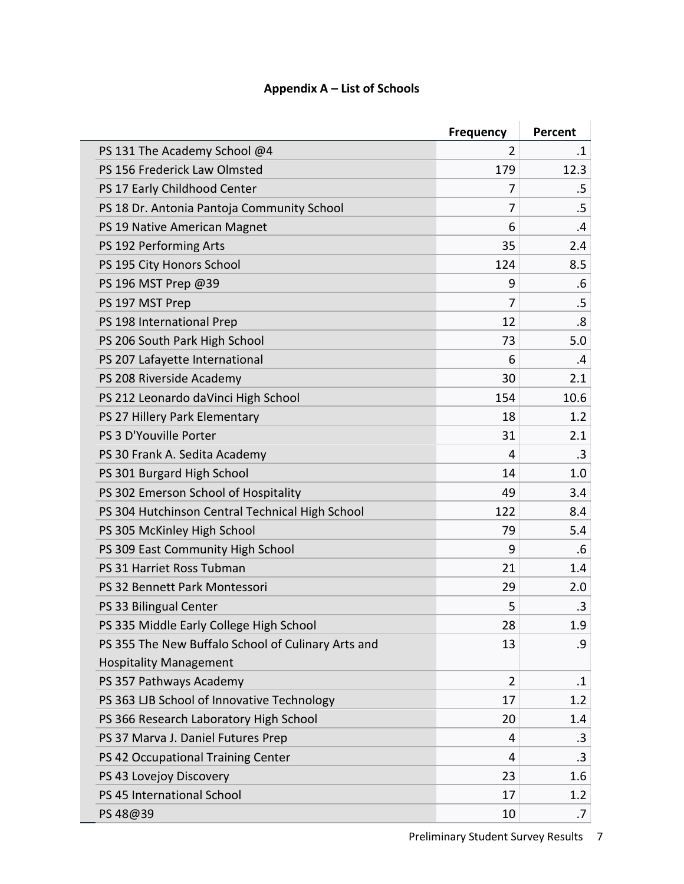## **Appendix A – List of Schools**

|                                                    | <b>Frequency</b> | Percent   |
|----------------------------------------------------|------------------|-----------|
| PS 131 The Academy School @4                       | 2                | $\cdot$ 1 |
| PS 156 Frederick Law Olmsted                       | 179              | 12.3      |
| PS 17 Early Childhood Center                       | 7                | .5        |
| PS 18 Dr. Antonia Pantoja Community School         | 7                | $.5\,$    |
| PS 19 Native American Magnet                       | 6                | .4        |
| PS 192 Performing Arts                             | 35               | 2.4       |
| PS 195 City Honors School                          | 124              | 8.5       |
| PS 196 MST Prep @39                                | 9                | .6        |
| PS 197 MST Prep                                    | $\overline{7}$   | .5        |
| PS 198 International Prep                          | 12               | .8        |
| PS 206 South Park High School                      | 73               | 5.0       |
| PS 207 Lafayette International                     | 6                | .4        |
| PS 208 Riverside Academy                           | 30               | 2.1       |
| PS 212 Leonardo daVinci High School                | 154              | 10.6      |
| PS 27 Hillery Park Elementary                      | 18               | 1.2       |
| PS 3 D'Youville Porter                             | 31               | 2.1       |
| PS 30 Frank A. Sedita Academy                      | 4                | .3        |
| PS 301 Burgard High School                         | 14               | 1.0       |
| PS 302 Emerson School of Hospitality               | 49               | 3.4       |
| PS 304 Hutchinson Central Technical High School    | 122              | 8.4       |
| PS 305 McKinley High School                        | 79               | 5.4       |
| PS 309 East Community High School                  | 9                | .6        |
| PS 31 Harriet Ross Tubman                          | 21               | 1.4       |
| PS 32 Bennett Park Montessori                      | 29               | 2.0       |
| PS 33 Bilingual Center                             | 5                | .3        |
| PS 335 Middle Early College High School            | 28               | 1.9       |
| PS 355 The New Buffalo School of Culinary Arts and | 13               | .9        |
| <b>Hospitality Management</b>                      |                  |           |
| PS 357 Pathways Academy                            | $\overline{2}$   | $\cdot$ 1 |
| PS 363 LJB School of Innovative Technology         | 17               | 1.2       |
| PS 366 Research Laboratory High School             | 20               | 1.4       |
| PS 37 Marva J. Daniel Futures Prep                 | 4                | $\cdot$ 3 |
| PS 42 Occupational Training Center                 | 4                | .3        |
| PS 43 Lovejoy Discovery                            | 23               | 1.6       |
| PS 45 International School                         | 17               | 1.2       |
| PS 48@39                                           | 10               | .7        |